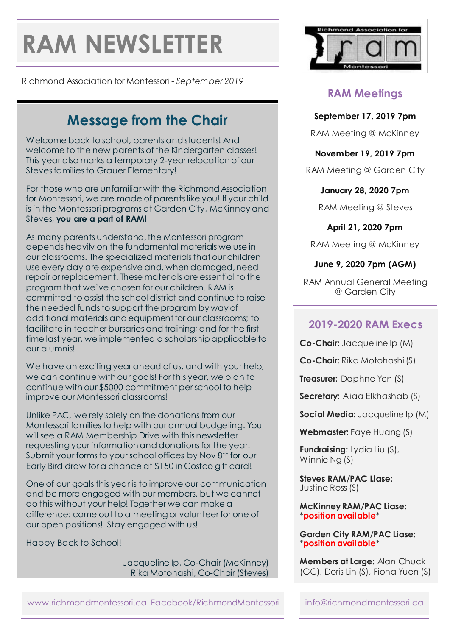# **RAM NEWSLETTER**

Richmond Association for Montessori - *September 2019*

## **Message from the Chair**

Welcome back to school, parents and students! And welcome to the new parents of the Kindergarten classes! This year also marks a temporary 2-year relocation of our Steves families to Grauer Elementary!

For those who are unfamiliar with the Richmond Association for Montessori, we are made of parents like you! If your child is in the Montessori programs at Garden City, McKinney and Steves, **you are a part of RAM!**

As many parents understand, the Montessori program depends heavily on the fundamental materials we use in our classrooms. The specialized materials that our children use every day are expensive and, when damaged, need repair or replacement. These materials are essential to the program that we've chosen for our children. RAM is committed to assist the school district and continue to raise the needed funds to support the program by way of additional materials and equipment for our classrooms; to facilitate in teacher bursaries and training; and for the first time last year, we implemented a scholarship applicable to our alumnis!

We have an exciting year ahead of us, and with your help, we can continue with our goals! For this year, we plan to continue with our \$5000 commitment per school to help improve our Montessori classrooms!

Unlike PAC, we rely solely on the donations from our Montessori familiesto help with our annual budgeting. You will see a RAM Membership Drive with this newsletter requesting your information and donations for the year. Submit your forms to your school offices by Nov 8<sup>th</sup> for our Early Bird draw for a chance at \$150 in Costco gift card!

One of our goals this year is to improve our communication and be more engaged with our members, but we cannot do this without your help! Together we can make a difference: come out to a meeting or volunteer for one of our open positions! Stay engaged with us!

Happy Back to School!

Jacqueline Ip, Co-Chair (McKinney) Rika Motohashi, Co-Chair (Steves)



## **RAM Meetings**

#### **September 17, 2019 7pm**

RAM Meeting @ McKinney

#### **November 19, 2019 7pm**

RAM Meeting @ Garden City

#### **January 28, 2020 7pm**

RAM Meeting @ Steves

**April 21, 2020 7pm**

RAM Meeting @ McKinney

#### **June 9, 2020 7pm (AGM)**

RAM Annual General Meeting @ Garden City

## **2019-2020 RAM Execs**

**Co-Chair:** Jacqueline Ip (M)

**Co-Chair:** Rika Motohashi (S)

**Treasurer:** Daphne Yen (S)

**Secretary:** Aliaa Elkhashab (S)

**Social Media:** Jacqueline Ip (M)

**Webmaster:** Faye Huang (S)

**Fundraising:** Lydia Liu (S), Winnie Ng (S)

**Steves RAM/PAC Liase:** Justine Ross (S)

**McKinney RAM/PAC Liase:** \***position available**\*

#### **Garden City RAM/PAC Liase:** \***position available**\*

**Members at Large:** Alan Chuck (GC), Doris Lin (S), Fiona Yuen (S)